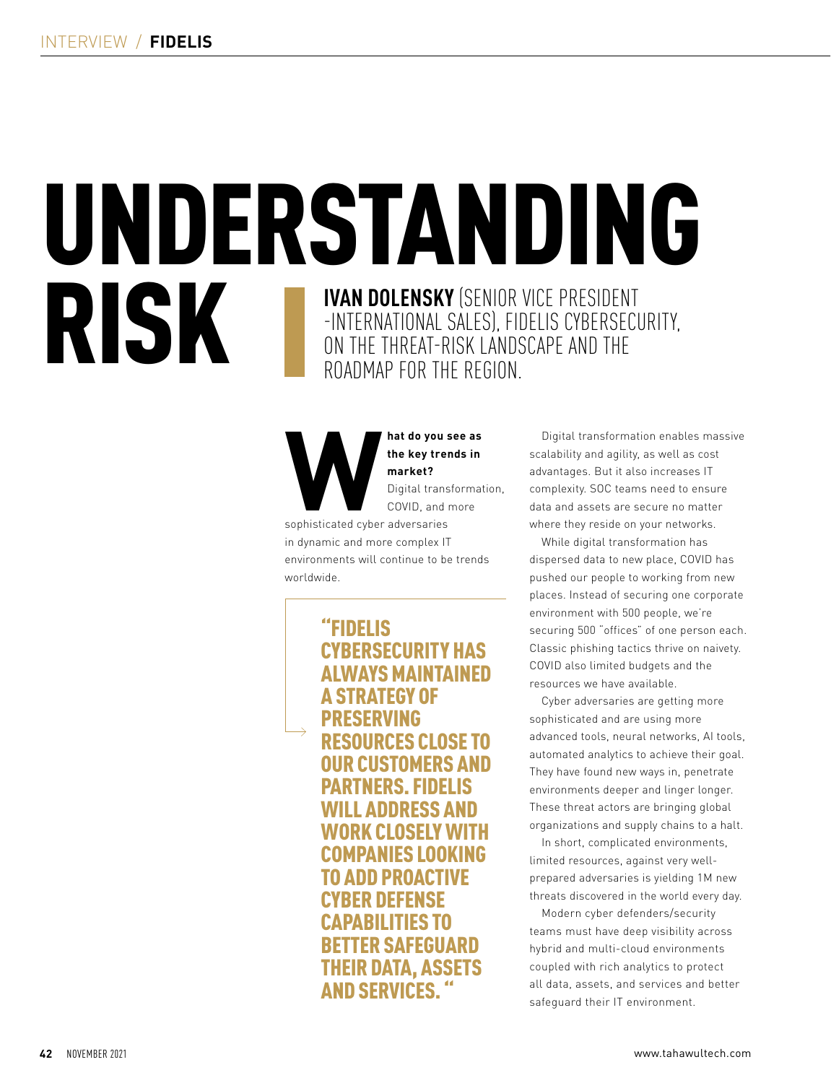# UNDERSTANDING **RISK** -INTERNATIONAL SALES), FIDELIS CYBERSECURITY, ON THE THREAT-RISK LANDSCAPE AND THE ROADMAP FOR THE REGION.

**Mat do you see as<br>
the key trends in<br>
market?<br>
Digital transformat<br>
COVID, and more<br>
sophisticated cyber adversaries the key trends in market?** Digital transformation, COVID, and more

in dynamic and more complex IT environments will continue to be trends worldwide.

> "FIDELIS CYBERSECURITY HAS ALWAYS MAINTAINED A STRATEGY OF PRESERVING RESOURCES CLOSE TO IR CIISTOMFRS AND PARTNERS. FIDELIS LL ADDRESS AND WORK CLOSELY WITH COMPANIES LOOKING TO ADD PROACTIVE CYBER DEFENSE CAPABILITIES TO BETTER SAFEGUARD THEIR DATA, ASSETS **AND SERVICES**

Digital transformation enables massive scalability and agility, as well as cost advantages. But it also increases IT complexity. SOC teams need to ensure data and assets are secure no matter where they reside on your networks.

While digital transformation has dispersed data to new place, COVID has pushed our people to working from new places. Instead of securing one corporate environment with 500 people, we're securing 500 "offices" of one person each. Classic phishing tactics thrive on naivety. COVID also limited budgets and the resources we have available.

Cyber adversaries are getting more sophisticated and are using more advanced tools, neural networks, AI tools, automated analytics to achieve their goal. They have found new ways in, penetrate environments deeper and linger longer. These threat actors are bringing global organizations and supply chains to a halt.

In short, complicated environments, limited resources, against very wellprepared adversaries is yielding 1M new threats discovered in the world every day.

Modern cyber defenders/security teams must have deep visibility across hybrid and multi-cloud environments coupled with rich analytics to protect all data, assets, and services and better safeguard their IT environment.